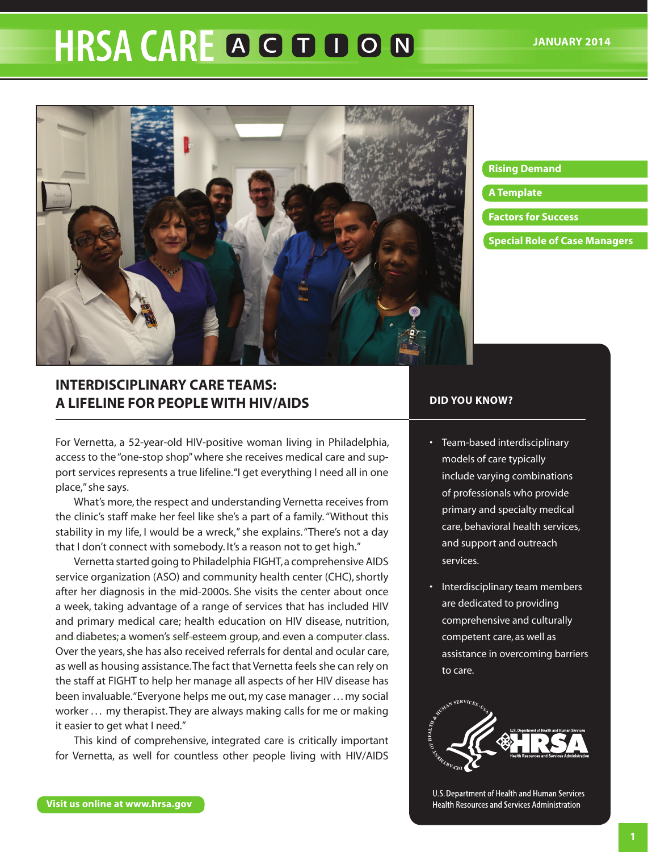# **HRSA CARE A G D D O N**



#### **[Rising Demand](#page-2-0)**

#### **[A Template](#page-3-0)**

- **[Factors for Success](#page-4-0)**
- **[Special Role of Case Managers](#page-6-0)**

## **INTERDISCIPLINARY CARE TEAMS: A LIFELINE FOR PEOPLE WITH HIV/AIDS**

For Vernetta, a 52-year-old HIV-positive woman living in Philadelphia, access to the "one-stop shop" where she receives medical care and support services represents a true lifeline. "I get everything I need all in one place," she says.

What's more, the respect and understanding Vernetta receives from the clinic's staff make her feel like she's a part of a family. "Without this stability in my life, I would be a wreck," she explains. "There's not a day that I don't connect with somebody. It's a reason not to get high."

Vernetta started going to Philadelphia FIGHT, a comprehensive AIDS service organization (ASO) and community health center (CHC), shortly after her diagnosis in the mid-2000s. She visits the center about once a week, taking advantage of a range of services that has included HIV and primary medical care; health education on HIV disease, nutrition, and diabetes; a women's self-esteem group, and even a computer class. Over the years, she has also received referrals for dental and ocular care, as well as housing assistance. The fact that Vernetta feels she can rely on the staff at FIGHT to help her manage all aspects of her HIV disease has been invaluable. "Everyone helps me out, my case manager . . . my social worker ... my therapist. They are always making calls for me or making it easier to get what I need."

This kind of comprehensive, integrated care is critically important for Vernetta, as well for countless other people living with HIV/AIDS

## **DID YOU KNOW?**

- Team-based interdisciplinary models of care typically include varying combinations of professionals who provide primary and specialty medical care, behavioral health services, and support and outreach services.
- Interdisciplinary team members are dedicated to providing comprehensive and culturally competent care, as well as assistance in overcoming barriers to care.



U.S. Department of Health and Human Services **Health Resources and Services Administration**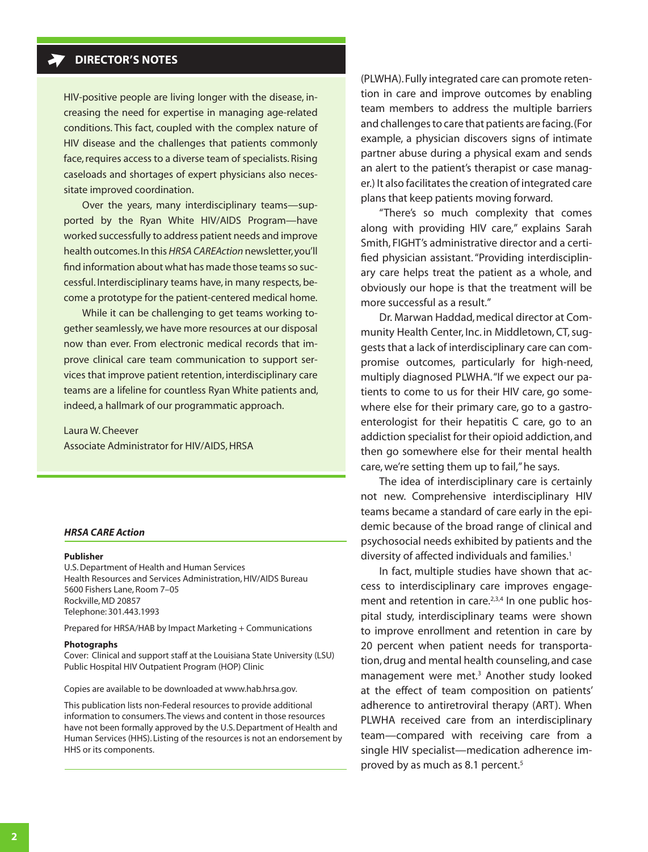## **DIRECTOR'S NOTES**

HIV-positive people are living longer with the disease, increasing the need for expertise in managing age-related conditions. This fact, coupled with the complex nature of HIV disease and the challenges that patients commonly face, requires access to a diverse team of specialists. Rising caseloads and shortages of expert physicians also necessitate improved coordination.

Over the years, many interdisciplinary teams—supported by the Ryan White HIV/AIDS Program—have worked successfully to address patient needs and improve health outcomes. In this *HRSA CAREAction* newsletter, you'll find information about what has made those teams so successful. Interdisciplinary teams have, in many respects, become a prototype for the patient-centered medical home.

While it can be challenging to get teams working together seamlessly, we have more resources at our disposal now than ever. From electronic medical records that improve clinical care team communication to support services that improve patient retention, interdisciplinary care teams are a lifeline for countless Ryan White patients and, indeed, a hallmark of our programmatic approach.

Laura W. Cheever Associate Administrator for HIV/AIDS, HRSA

#### *HRSA CARE Action*

#### **Publisher**

U.S. Department of Health and Human Services Health Resources and Services Administration, HIV/AIDS Bureau 5600 Fishers Lane, Room 7–05 Rockville, MD 20857 Telephone: 301.443.1993

Prepared for HRSA/HAB by Impact Marketing + Communications

#### **Photographs**

Cover: Clinical and support staff at the Louisiana State University (LSU) Public Hospital HIV Outpatient Program (HOP) Clinic

Copies are available to be downloaded at<www.hab.hrsa.gov>.

This publication lists non-Federal resources to provide additional information to consumers. The views and content in those resources have not been formally approved by the U.S. Department of Health and Human Services (HHS). Listing of the resources is not an endorsement by HHS or its components.

(PLWHA). Fully integrated care can promote retention in care and improve outcomes by enabling team members to address the multiple barriers and challenges to care that patients are facing. (For example, a physician discovers signs of intimate partner abuse during a physical exam and sends an alert to the patient's therapist or case manager.) It also facilitates the creation of integrated care plans that keep patients moving forward.

"There's so much complexity that comes along with providing HIV care," explains Sarah Smith, FIGHT's administrative director and a certified physician assistant. "Providing interdisciplinary care helps treat the patient as a whole, and obviously our hope is that the treatment will be more successful as a result."

Dr. Marwan Haddad, medical director at Community Health Center, Inc. in Middletown, CT, suggests that a lack of interdisciplinary care can compromise outcomes, particularly for high-need, multiply diagnosed PLWHA. "If we expect our patients to come to us for their HIV care, go somewhere else for their primary care, go to a gastroenterologist for their hepatitis C care, go to an addiction specialist for their opioid addiction, and then go somewhere else for their mental health care, we're setting them up to fail," he says.

The idea of interdisciplinary care is certainly not new. Comprehensive interdisciplinary HIV teams became a standard of care early in the epidemic because of the broad range of clinical and psychosocial needs exhibited by patients and the diversity of affected individuals and families.<sup>1</sup>

In fact, multiple studies have shown that access to interdisciplinary care improves engagement and retention in care.<sup>2,3,4</sup> In one public hospital study, interdisciplinary teams were shown to improve enrollment and retention in care by 20 percent when patient needs for transportation, drug and mental health counseling, and case management were met.<sup>3</sup> Another study looked at the effect of team composition on patients' adherence to antiretroviral therapy (ART). When PLWHA received care from an interdisciplinary team—compared with receiving care from a single HIV specialist—medication adherence improved by as much as 8.1 percent.<sup>5</sup>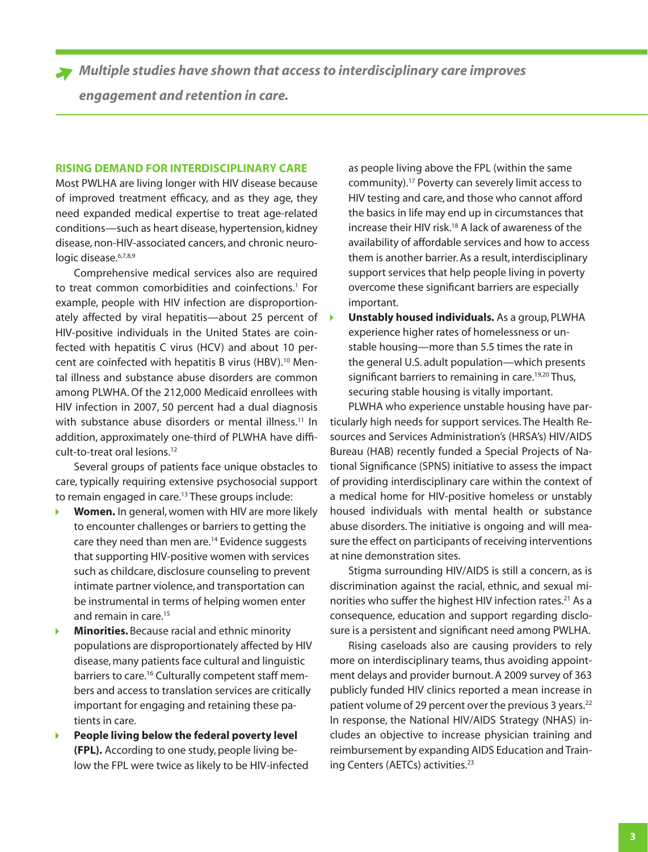<span id="page-2-0"></span>*Multiple studies have shown that access to interdisciplinary care improves engagement and retention in care.*

#### **RISING DEMAND FOR INTERDISCIPLINARY CARE**

Most PWLHA are living longer with HIV disease because of improved treatment efficacy, and as they age, they need expanded medical expertise to treat age-related conditions—such as heart disease, hypertension, kidney disease, non-HIV-associated cancers, and chronic neurologic disease.<sup>6,7,8,9</sup>

Comprehensive medical services also are required to treat common comorbidities and coinfections.<sup>1</sup> For example, people with HIV infection are disproportionately affected by viral hepatitis—about 25 percent of HIV-positive individuals in the United States are coinfected with hepatitis C virus (HCV) and about 10 percent are coinfected with hepatitis B virus (HBV).<sup>10</sup> Mental illness and substance abuse disorders are common among PLWHA. Of the 212,000 Medicaid enrollees with HIV infection in 2007, 50 percent had a dual diagnosis with substance abuse disorders or mental illness.<sup>11</sup> In addition, approximately one-third of PLWHA have difficult-to-treat oral lesions.12

Several groups of patients face unique obstacles to care, typically requiring extensive psychosocial support to remain engaged in care.<sup>13</sup> These groups include:

- **Women.** In general, women with HIV are more likely to encounter challenges or barriers to getting the care they need than men are.<sup>14</sup> Evidence suggests that supporting HIV-positive women with services such as childcare, disclosure counseling to prevent intimate partner violence, and transportation can be instrumental in terms of helping women enter and remain in care.<sup>15</sup>
- ь **Minorities.** Because racial and ethnic minority populations are disproportionately affected by HIV disease, many patients face cultural and linguistic barriers to care.<sup>16</sup> Culturally competent staff members and access to translation services are critically important for engaging and retaining these patients in care.
- **People living below the federal poverty level (FPL).** According to one study, people living below the FPL were twice as likely to be HIV-infected

as people living above the FPL (within the same community).17 Poverty can severely limit access to HIV testing and care, and those who cannot afford the basics in life may end up in circumstances that increase their HIV risk.18 A lack of awareness of the availability of affordable services and how to access them is another barrier. As a result, interdisciplinary support services that help people living in poverty overcome these significant barriers are especially important.

**Unstably housed individuals.** As a group, PLWHA experience higher rates of homelessness or unstable housing—more than 5.5 times the rate in the general U.S. adult population—which presents significant barriers to remaining in care.<sup>19,20</sup> Thus, securing stable housing is vitally important.

PLWHA who experience unstable housing have particularly high needs for support services. The Health Resources and Services Administration's (HRSA's) HIV/AIDS Bureau (HAB) recently funded a Special Projects of National Significance (SPNS) initiative to assess the impact of providing interdisciplinary care within the context of a medical home for HIV-positive homeless or unstably housed individuals with mental health or substance abuse disorders. The initiative is ongoing and will measure the effect on participants of receiving interventions at nine demonstration sites.

Stigma surrounding HIV/AIDS is still a concern, as is discrimination against the racial, ethnic, and sexual minorities who suffer the highest HIV infection rates.<sup>21</sup> As a consequence, education and support regarding disclosure is a persistent and significant need among PWLHA.

Rising caseloads also are causing providers to rely more on interdisciplinary teams, thus avoiding appointment delays and provider burnout. A 2009 survey of 363 publicly funded HIV clinics reported a mean increase in patient volume of 29 percent over the previous 3 years.<sup>22</sup> In response, the National HIV/AIDS Strategy (NHAS) includes an objective to increase physician training and reimbursement by expanding AIDS Education and Training Centers (AETCs) activities.<sup>23</sup>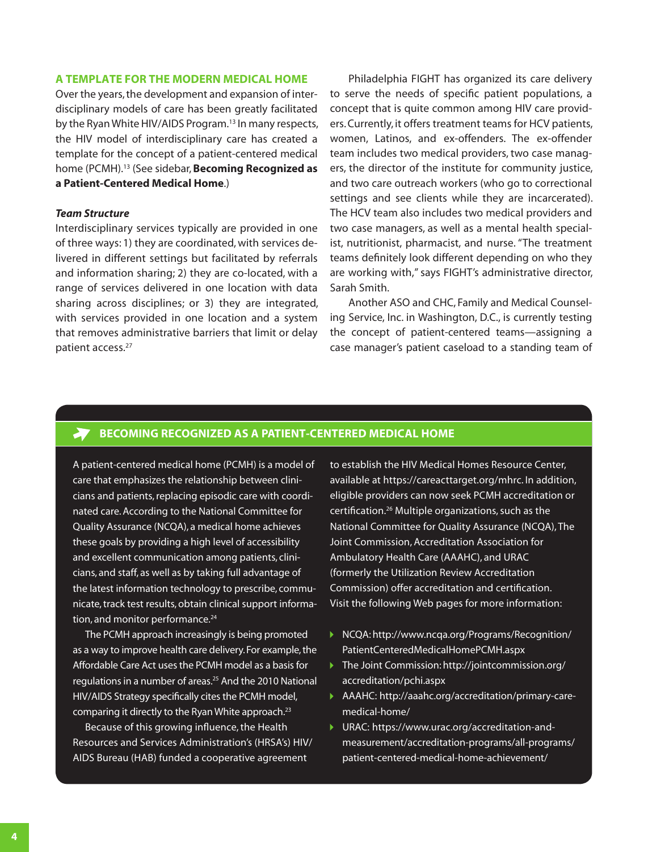#### <span id="page-3-0"></span>**A TEMPLATE FOR THE MODERN MEDICAL HOME**

Over the years, the development and expansion of interdisciplinary models of care has been greatly facilitated by the Ryan White HIV/AIDS Program.<sup>13</sup> In many respects, the HIV model of interdisciplinary care has created a template for the concept of a patient-centered medical home (PCMH).13 (See sidebar, **Becoming Recognized as a Patient-Centered Medical Home**.)

#### *Team Structure*

Interdisciplinary services typically are provided in one of three ways: 1) they are coordinated, with services delivered in different settings but facilitated by referrals and information sharing; 2) they are co-located, with a range of services delivered in one location with data sharing across disciplines; or 3) they are integrated, with services provided in one location and a system that removes administrative barriers that limit or delay patient access.27

Philadelphia FIGHT has organized its care delivery to serve the needs of specific patient populations, a concept that is quite common among HIV care providers. Currently, it offers treatment teams for HCV patients, women, Latinos, and ex-offenders. The ex-offender team includes two medical providers, two case managers, the director of the institute for community justice, and two care outreach workers (who go to correctional settings and see clients while they are incarcerated). The HCV team also includes two medical providers and two case managers, as well as a mental health specialist, nutritionist, pharmacist, and nurse. "The treatment teams definitely look different depending on who they are working with," says FIGHT's administrative director, Sarah Smith.

Another ASO and CHC, Family and Medical Counseling Service, Inc. in Washington, D.C., is currently testing the concept of patient-centered teams—assigning a case manager's patient caseload to a standing team of

## **BECOMING RECOGNIZED AS A PATIENT-CENTERED MEDICAL HOME**

A patient-centered medical home (PCMH) is a model of care that emphasizes the relationship between clinicians and patients, replacing episodic care with coordinated care. According to the National Committee for Quality Assurance (NCQA), a medical home achieves these goals by providing a high level of accessibility and excellent communication among patients, clinicians, and staff, as well as by taking full advantage of the latest information technology to prescribe, communicate, track test results, obtain clinical support information, and monitor performance.<sup>24</sup>

The PCMH approach increasingly is being promoted as a way to improve health care delivery. For example, the Affordable Care Act uses the PCMH model as a basis for regulations in a number of areas.<sup>25</sup> And the 2010 National HIV/AIDS Strategy specifically cites the PCMH model, comparing it directly to the Ryan White approach.<sup>23</sup>

Because of this growing influence, the Health Resources and Services Administration's (HRSA's) HIV/ AIDS Bureau (HAB) funded a cooperative agreement

to establish the HIV Medical Homes Resource Center, available at <https://careacttarget.org/mhrc>. In addition, eligible providers can now seek PCMH accreditation or certification.26 Multiple organizations, such as the National Committee for Quality Assurance (NCQA), The Joint Commission, Accreditation Association for Ambulatory Health Care (AAAHC), and URAC (formerly the Utilization Review Accreditation Commission) offer accreditation and certification. Visit the following Web pages for more information:

- ▶ NCQA: [http://www.ncqa.org/Programs/Recognition/](http://www.ncqa.org/Programs/Recognition/PatientCenteredMedicalHomePCMH.aspx) [PatientCenteredMedicalHomePCMH.aspx](http://www.ncqa.org/Programs/Recognition/PatientCenteredMedicalHomePCMH.aspx)
- ▶ The Joint Commission: [http://jointcommission.org/](http://jointcommission.org/accreditation/pchi.aspx) [accreditation/pchi.aspx](http://jointcommission.org/accreditation/pchi.aspx)
- AAAHC: [http://aaahc.org/accreditation/primary-care](http://aaahc.org/accreditation/primary-care-medical-home/)[medical-home/](http://aaahc.org/accreditation/primary-care-medical-home/)
- ▶ URAC: [https://www.urac.org/accreditation-and](https://www.urac.org/accreditation-and-measurement/accreditation-programs/all-programs/patient-centered-medical-home-achievement/)[measurement/accreditation-programs/all-programs/](https://www.urac.org/accreditation-and-measurement/accreditation-programs/all-programs/patient-centered-medical-home-achievement/) [patient-centered-medical-home-achievement/](https://www.urac.org/accreditation-and-measurement/accreditation-programs/all-programs/patient-centered-medical-home-achievement/)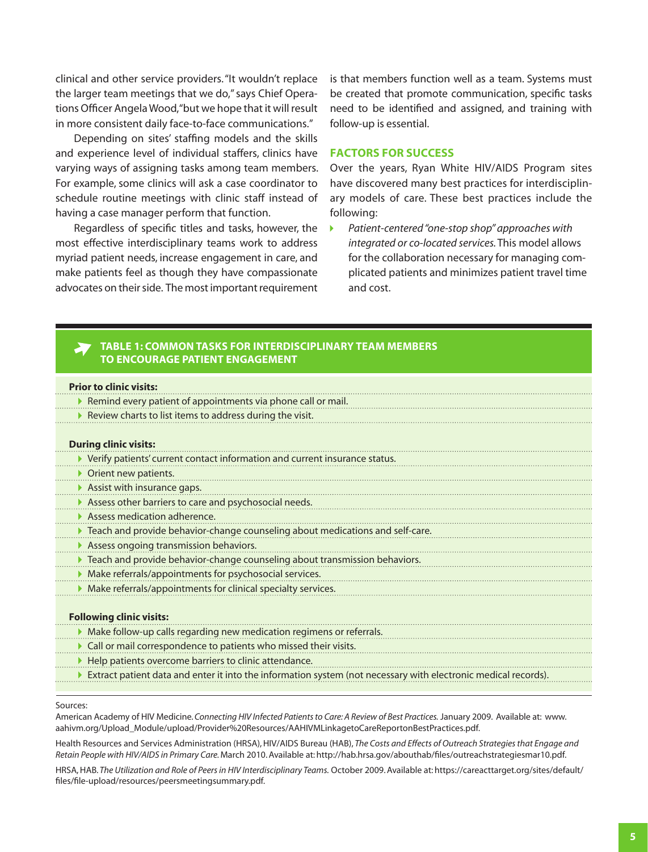<span id="page-4-0"></span>clinical and other service providers. "It wouldn't replace the larger team meetings that we do," says Chief Operations Officer Angela Wood, "but we hope that it will result in more consistent daily face-to-face communications."

Depending on sites' staffing models and the skills and experience level of individual staffers, clinics have varying ways of assigning tasks among team members. For example, some clinics will ask a case coordinator to schedule routine meetings with clinic staff instead of having a case manager perform that function.

Regardless of specific titles and tasks, however, the most effective interdisciplinary teams work to address myriad patient needs, increase engagement in care, and make patients feel as though they have compassionate advocates on their side. The most important requirement is that members function well as a team. Systems must be created that promote communication, specific tasks need to be identified and assigned, and training with follow-up is essential.

#### **FACTORS FOR SUCCESS**

Over the years, Ryan White HIV/AIDS Program sites have discovered many best practices for interdisciplinary models of care. These best practices include the following:

*Patient-centered "one-stop shop" approaches with*   $\mathbf{F}$ *integrated or co-located services.* This model allows for the collaboration necessary for managing complicated patients and minimizes patient travel time and cost.

## **TABLE 1: COMMON TASKS FOR INTERDISCIPLINARY TEAM MEMBERS TO ENCOURAGE PATIENT ENGAGEMENT**

| <b>Prior to clinic visits:</b>                                                                                 |
|----------------------------------------------------------------------------------------------------------------|
| $\blacktriangleright$ Remind every patient of appointments via phone call or mail.                             |
| Review charts to list items to address during the visit.                                                       |
|                                                                                                                |
| <b>During clinic visits:</b>                                                                                   |
| ▶ Verify patients' current contact information and current insurance status.                                   |
| ▶ Orient new patients.                                                                                         |
| Assist with insurance gaps.                                                                                    |
| Assess other barriers to care and psychosocial needs.                                                          |
| Assess medication adherence.                                                                                   |
| Teach and provide behavior-change counseling about medications and self-care.                                  |
| Assess ongoing transmission behaviors.                                                                         |
| Teach and provide behavior-change counseling about transmission behaviors.                                     |
| > Make referrals/appointments for psychosocial services.                                                       |
| Make referrals/appointments for clinical specialty services.                                                   |
|                                                                                                                |
| <b>Following clinic visits:</b>                                                                                |
| > Make follow-up calls regarding new medication regimens or referrals.                                         |
| Call or mail correspondence to patients who missed their visits.                                               |
| Help patients overcome barriers to clinic attendance.                                                          |
| Extract patient data and enter it into the information system (not necessary with electronic medical records). |
|                                                                                                                |

#### Sources:

American Academy of HIV Medicine. *Connecting HIV Infected Patients to Care: A Review of Best Practices.* January 2009. Available at: [www.](www.aahivm.org/Upload_Module/upload/Provider%20Resources/AAHIVMLinkagetoCareReportonBestPractices.pdf) [aahivm.org/Upload\\_Module/upload/Provider%20Resources/AAHIVMLinkagetoCareReportonBestPractices.pdf](www.aahivm.org/Upload_Module/upload/Provider%20Resources/AAHIVMLinkagetoCareReportonBestPractices.pdf).

Health Resources and Services Administration (HRSA), HIV/AIDS Bureau (HAB), *The Costs and Effects of Outreach Strategies that Engage and Retain People with HIV/AIDS in Primary Care.* March 2010. Available at: <http://hab.hrsa.gov/abouthab/files/outreachstrategiesmar10.pdf>.

HRSA, HAB. *The Utilization and Role of Peers in HIV Interdisciplinary Teams.* October 2009. Available at: [https://careacttarget.org/sites/default/](https://careacttarget.org/sites/default/files/file-upload/resources/peersmeetingsummary.pdf) [files/file-upload/resources/peersmeetingsummary.pdf](https://careacttarget.org/sites/default/files/file-upload/resources/peersmeetingsummary.pdf).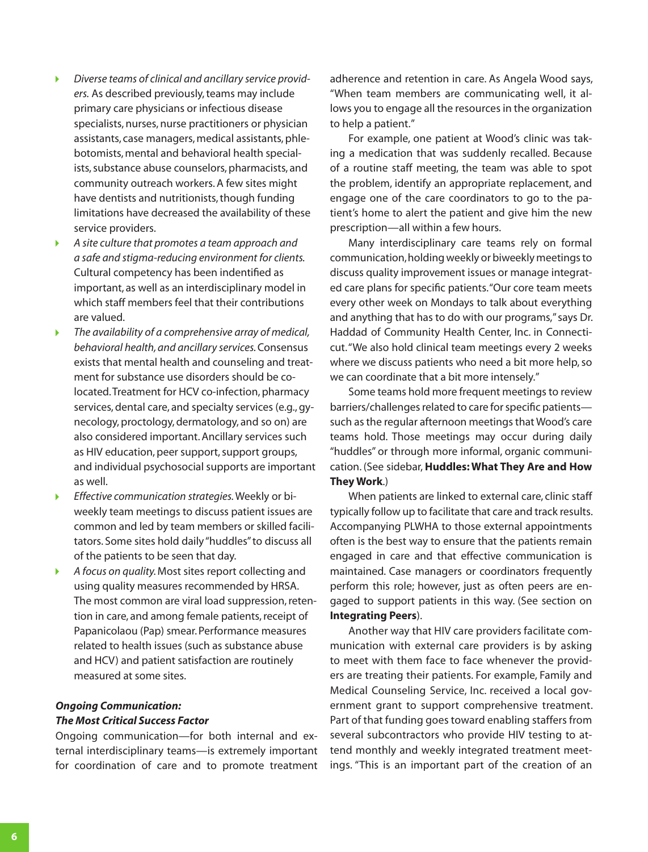- *Diverse teams of clinical and ancillary service provid-* $\blacktriangleright$ *ers.* As described previously, teams may include primary care physicians or infectious disease specialists, nurses, nurse practitioners or physician assistants, case managers, medical assistants, phlebotomists, mental and behavioral health specialists, substance abuse counselors, pharmacists, and community outreach workers. A few sites might have dentists and nutritionists, though funding limitations have decreased the availability of these service providers.
- K *A site culture that promotes a team approach and a safe and stigma-reducing environment for clients.* Cultural competency has been indentified as important, as well as an interdisciplinary model in which staff members feel that their contributions are valued.
- ь *The availability of a comprehensive array of medical, behavioral health, and ancillary services.* Consensus exists that mental health and counseling and treatment for substance use disorders should be colocated. Treatment for HCV co-infection, pharmacy services, dental care, and specialty services (e.g., gynecology, proctology, dermatology, and so on) are also considered important. Ancillary services such as HIV education, peer support, support groups, and individual psychosocial supports are important as well.
- *Effective communication strategies.* Weekly or bi-¥ weekly team meetings to discuss patient issues are common and led by team members or skilled facilitators. Some sites hold daily "huddles" to discuss all of the patients to be seen that day.
- K *A focus on quality.* Most sites report collecting and using quality measures recommended by HRSA. The most common are viral load suppression, retention in care, and among female patients, receipt of Papanicolaou (Pap) smear. Performance measures related to health issues (such as substance abuse and HCV) and patient satisfaction are routinely measured at some sites.

## *Ongoing Communication: The Most Critical Success Factor*

Ongoing communication—for both internal and external interdisciplinary teams—is extremely important for coordination of care and to promote treatment

adherence and retention in care. As Angela Wood says, "When team members are communicating well, it allows you to engage all the resources in the organization to help a patient."

For example, one patient at Wood's clinic was taking a medication that was suddenly recalled. Because of a routine staff meeting, the team was able to spot the problem, identify an appropriate replacement, and engage one of the care coordinators to go to the patient's home to alert the patient and give him the new prescription—all within a few hours.

Many interdisciplinary care teams rely on formal communication, holding weekly or biweekly meetings to discuss quality improvement issues or manage integrated care plans for specific patients. "Our core team meets every other week on Mondays to talk about everything and anything that has to do with our programs," says Dr. Haddad of Community Health Center, Inc. in Connecticut. "We also hold clinical team meetings every 2 weeks where we discuss patients who need a bit more help, so we can coordinate that a bit more intensely."

Some teams hold more frequent meetings to review barriers/challenges related to care for specific patients such as the regular afternoon meetings that Wood's care teams hold. Those meetings may occur during daily "huddles" or through more informal, organic communication. (See sidebar, **[Huddles: What They Are and How](#page-6-0) [They Work](#page-6-0)**.)

When patients are linked to external care, clinic staff typically follow up to facilitate that care and track results. Accompanying PLWHA to those external appointments often is the best way to ensure that the patients remain engaged in care and that effective communication is maintained. Case managers or coordinators frequently perform this role; however, just as often peers are engaged to support patients in this way. (See section on **[Integrating Peers](#page-7-0)**).

Another way that HIV care providers facilitate communication with external care providers is by asking to meet with them face to face whenever the providers are treating their patients. For example, Family and Medical Counseling Service, Inc. received a local government grant to support comprehensive treatment. Part of that funding goes toward enabling staffers from several subcontractors who provide HIV testing to attend monthly and weekly integrated treatment meetings. "This is an important part of the creation of an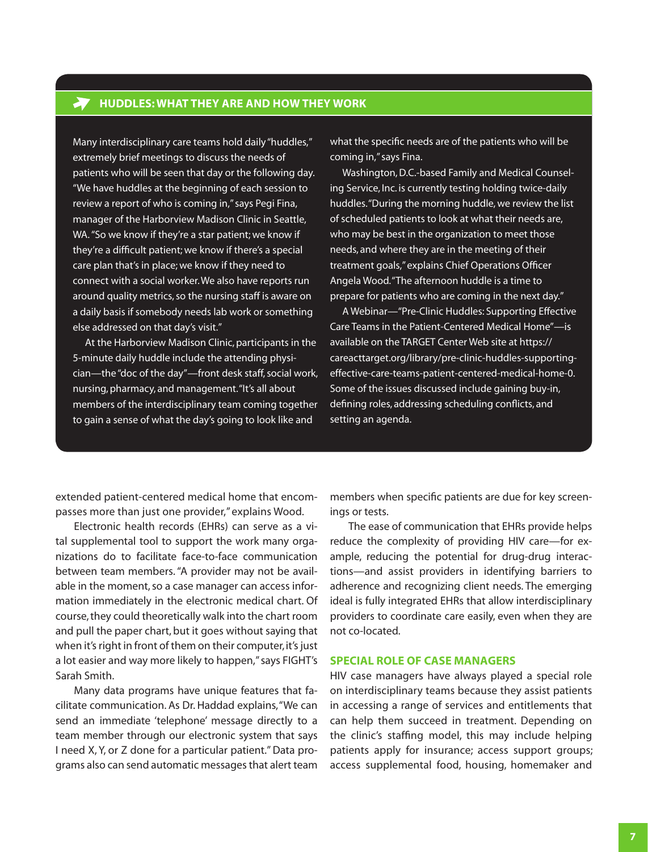<span id="page-6-0"></span>Many interdisciplinary care teams hold daily "huddles," extremely brief meetings to discuss the needs of patients who will be seen that day or the following day. "We have huddles at the beginning of each session to review a report of who is coming in," says Pegi Fina, manager of the Harborview Madison Clinic in Seattle, WA. "So we know if they're a star patient; we know if they're a difficult patient; we know if there's a special care plan that's in place; we know if they need to connect with a social worker. We also have reports run around quality metrics, so the nursing staff is aware on a daily basis if somebody needs lab work or something else addressed on that day's visit."

At the Harborview Madison Clinic, participants in the 5-minute daily huddle include the attending physician—the "doc of the day"—front desk staff, social work, nursing, pharmacy, and management. "It's all about members of the interdisciplinary team coming together to gain a sense of what the day's going to look like and

what the specific needs are of the patients who will be coming in," says Fina.

Washington, D.C.-based Family and Medical Counseling Service, Inc. is currently testing holding twice-daily huddles. "During the morning huddle, we review the list of scheduled patients to look at what their needs are, who may be best in the organization to meet those needs, and where they are in the meeting of their treatment goals," explains Chief Operations Officer Angela Wood. "The afternoon huddle is a time to prepare for patients who are coming in the next day."

A Webinar—"Pre-Clinic Huddles: Supporting Effective Care Teams in the Patient-Centered Medical Home"—is available on the TARGET Center Web site at [https://](https://careacttarget.org/library/pre-clinic-huddles-supporting-effective-care-teams-patient-centered-medical-home-0) [careacttarget.org/library/pre-clinic-huddles-supporting](https://careacttarget.org/library/pre-clinic-huddles-supporting-effective-care-teams-patient-centered-medical-home-0)[effective-care-teams-patient-centered-medical-home-0.](https://careacttarget.org/library/pre-clinic-huddles-supporting-effective-care-teams-patient-centered-medical-home-0) Some of the issues discussed include gaining buy-in, defining roles, addressing scheduling conflicts, and setting an agenda.

extended patient-centered medical home that encompasses more than just one provider," explains Wood.

Electronic health records (EHRs) can serve as a vital supplemental tool to support the work many organizations do to facilitate face-to-face communication between team members. "A provider may not be available in the moment, so a case manager can access information immediately in the electronic medical chart. Of course, they could theoretically walk into the chart room and pull the paper chart, but it goes without saying that when it's right in front of them on their computer, it's just a lot easier and way more likely to happen," says FIGHT's Sarah Smith.

Many data programs have unique features that facilitate communication. As Dr. Haddad explains, "We can send an immediate 'telephone' message directly to a team member through our electronic system that says I need X, Y, or Z done for a particular patient." Data programs also can send automatic messages that alert team members when specific patients are due for key screenings or tests.

The ease of communication that EHRs provide helps reduce the complexity of providing HIV care—for example, reducing the potential for drug-drug interactions—and assist providers in identifying barriers to adherence and recognizing client needs. The emerging ideal is fully integrated EHRs that allow interdisciplinary providers to coordinate care easily, even when they are not co-located.

#### **SPECIAL ROLE OF CASE MANAGERS**

HIV case managers have always played a special role on interdisciplinary teams because they assist patients in accessing a range of services and entitlements that can help them succeed in treatment. Depending on the clinic's staffing model, this may include helping patients apply for insurance; access support groups; access supplemental food, housing, homemaker and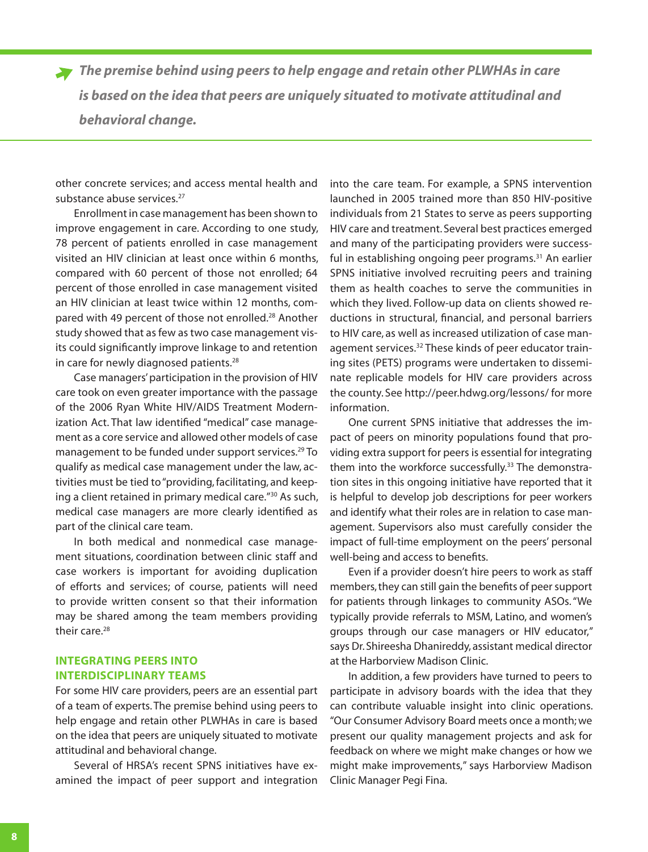<span id="page-7-0"></span>*The premise behind using peers to help engage and retain other PLWHAs in care is based on the idea that peers are uniquely situated to motivate attitudinal and behavioral change.* 

other concrete services; and access mental health and substance abuse services.<sup>27</sup>

Enrollment in case management has been shown to improve engagement in care. According to one study, 78 percent of patients enrolled in case management visited an HIV clinician at least once within 6 months, compared with 60 percent of those not enrolled; 64 percent of those enrolled in case management visited an HIV clinician at least twice within 12 months, compared with 49 percent of those not enrolled.<sup>28</sup> Another study showed that as few as two case management visits could significantly improve linkage to and retention in care for newly diagnosed patients.<sup>28</sup>

Case managers' participation in the provision of HIV care took on even greater importance with the passage of the 2006 Ryan White HIV/AIDS Treatment Modernization Act. That law identified "medical" case management as a core service and allowed other models of case management to be funded under support services.<sup>29</sup> To qualify as medical case management under the law, activities must be tied to "providing, facilitating, and keeping a client retained in primary medical care."30 As such, medical case managers are more clearly identified as part of the clinical care team.

In both medical and nonmedical case management situations, coordination between clinic staff and case workers is important for avoiding duplication of efforts and services; of course, patients will need to provide written consent so that their information may be shared among the team members providing their care.<sup>28</sup>

## **INTEGRATING PEERS INTO INTERDISCIPLINARY TEAMS**

For some HIV care providers, peers are an essential part of a team of experts. The premise behind using peers to help engage and retain other PLWHAs in care is based on the idea that peers are uniquely situated to motivate attitudinal and behavioral change.

Several of HRSA's recent SPNS initiatives have examined the impact of peer support and integration

into the care team. For example, a SPNS intervention launched in 2005 trained more than 850 HIV-positive individuals from 21 States to serve as peers supporting HIV care and treatment. Several best practices emerged and many of the participating providers were successful in establishing ongoing peer programs.<sup>31</sup> An earlier SPNS initiative involved recruiting peers and training them as health coaches to serve the communities in which they lived. Follow-up data on clients showed reductions in structural, financial, and personal barriers to HIV care, as well as increased utilization of case management services.<sup>32</sup> These kinds of peer educator training sites (PETS) programs were undertaken to disseminate replicable models for HIV care providers across the county. See <http://peer.hdwg.org/lessons/>for more information.

One current SPNS initiative that addresses the impact of peers on minority populations found that providing extra support for peers is essential for integrating them into the workforce successfully.<sup>33</sup> The demonstration sites in this ongoing initiative have reported that it is helpful to develop job descriptions for peer workers and identify what their roles are in relation to case management. Supervisors also must carefully consider the impact of full-time employment on the peers' personal well-being and access to benefits.

Even if a provider doesn't hire peers to work as staff members, they can still gain the benefits of peer support for patients through linkages to community ASOs. "We typically provide referrals to MSM, Latino, and women's groups through our case managers or HIV educator," says Dr. Shireesha Dhanireddy, assistant medical director at the Harborview Madison Clinic.

In addition, a few providers have turned to peers to participate in advisory boards with the idea that they can contribute valuable insight into clinic operations. "Our Consumer Advisory Board meets once a month; we present our quality management projects and ask for feedback on where we might make changes or how we might make improvements," says Harborview Madison Clinic Manager Pegi Fina.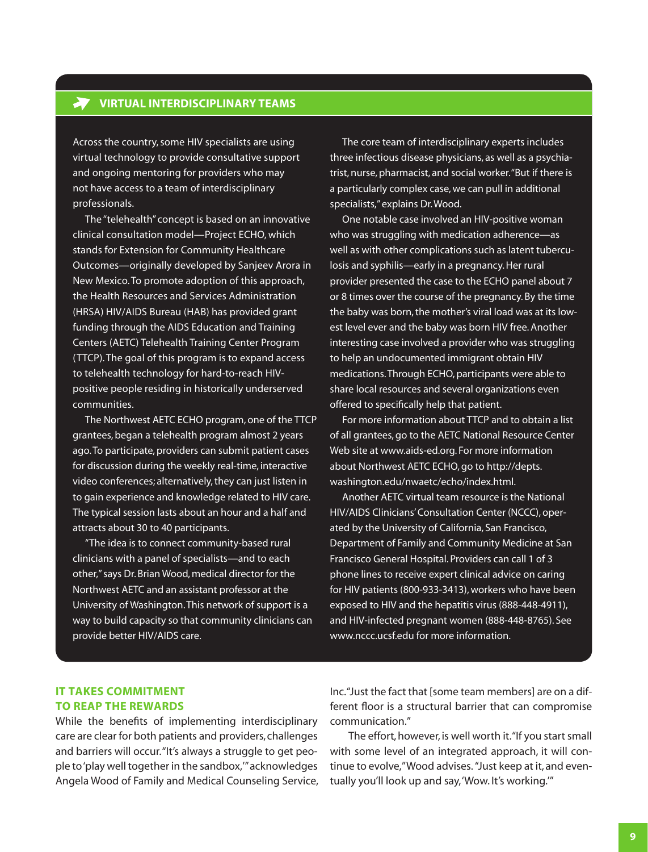## **VIRTUAL INTERDISCIPLINARY TEAMS**

Across the country, some HIV specialists are using virtual technology to provide consultative support and ongoing mentoring for providers who may not have access to a team of interdisciplinary professionals.

The "telehealth" concept is based on an innovative clinical consultation model—Project ECHO, which stands for Extension for Community Healthcare Outcomes—originally developed by Sanjeev Arora in New Mexico. To promote adoption of this approach, the Health Resources and Services Administration (HRSA) HIV/AIDS Bureau (HAB) has provided grant funding through the AIDS Education and Training Centers (AETC) Telehealth Training Center Program (TTCP). The goal of this program is to expand access to telehealth technology for hard-to-reach HIVpositive people residing in historically underserved communities.

The Northwest AETC ECHO program, one of the TTCP grantees, began a telehealth program almost 2 years ago. To participate, providers can submit patient cases for discussion during the weekly real-time, interactive video conferences; alternatively, they can just listen in to gain experience and knowledge related to HIV care. The typical session lasts about an hour and a half and attracts about 30 to 40 participants.

"The idea is to connect community-based rural clinicians with a panel of specialists—and to each other," says Dr. Brian Wood, medical director for the Northwest AETC and an assistant professor at the University of Washington. This network of support is a way to build capacity so that community clinicians can provide better HIV/AIDS care.

The core team of interdisciplinary experts includes three infectious disease physicians, as well as a psychiatrist, nurse, pharmacist, and social worker. "But if there is a particularly complex case, we can pull in additional specialists," explains Dr. Wood.

One notable case involved an HIV-positive woman who was struggling with medication adherence—as well as with other complications such as latent tuberculosis and syphilis—early in a pregnancy. Her rural provider presented the case to the ECHO panel about 7 or 8 times over the course of the pregnancy. By the time the baby was born, the mother's viral load was at its lowest level ever and the baby was born HIV free. Another interesting case involved a provider who was struggling to help an undocumented immigrant obtain HIV medications. Through ECHO, participants were able to share local resources and several organizations even offered to specifically help that patient.

For more information about TTCP and to obtain a list of all grantees, go to the AETC National Resource Center Web site at [www.aids-ed.org.](http://www.aids-ed.org) For more information about Northwest AETC ECHO, go to [http://depts.](http://depts.washington.edu/nwaetc/echo/index.html) [washington.edu/nwaetc/echo/index.html.](http://depts.washington.edu/nwaetc/echo/index.html)

Another AETC virtual team resource is the National HIV/AIDS Clinicians' Consultation Center (NCCC), operated by the University of California, San Francisco, Department of Family and Community Medicine at San Francisco General Hospital. Providers can call 1 of 3 phone lines to receive expert clinical advice on caring for HIV patients (800-933-3413), workers who have been exposed to HIV and the hepatitis virus (888-448-4911), and HIV-infected pregnant women (888-448-8765). See [www.nccc.ucsf.edu](http://www.nccc.ucsf.edu) for more information.

## **IT TAKES COMMITMENT TO REAP THE REWARDS**

While the benefits of implementing interdisciplinary care are clear for both patients and providers, challenges and barriers will occur. "It's always a struggle to get people to 'play well together in the sandbox,'" acknowledges Angela Wood of Family and Medical Counseling Service,

Inc. "Just the fact that [some team members] are on a different floor is a structural barrier that can compromise communication."

The effort, however, is well worth it. "If you start small with some level of an integrated approach, it will continue to evolve," Wood advises. "Just keep at it, and eventually you'll look up and say, 'Wow. It's working.'"